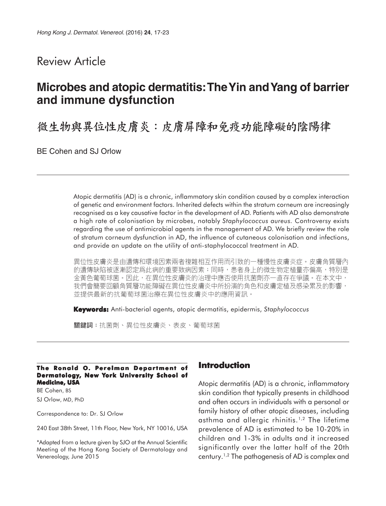## Review Article

# **Microbes and atopic dermatitis: The Yin and Yang of barrier and immune dysfunction**

微生物與異位性皮膚炎:皮膚屏障和免疫功能障礙的陰陽律

BE Cohen and SJ Orlow

Atopic dermatitis (AD) is a chronic, inflammatory skin condition caused by a complex interaction of genetic and environment factors. Inherited defects within the stratum corneum are increasingly recognised as a key causative factor in the development of AD. Patients with AD also demonstrate a high rate of colonisation by microbes, notably *Staphylococcus aureus.* Controversy exists regarding the use of antimicrobial agents in the management of AD. We briefly review the role of stratum corneum dysfunction in AD, the influence of cutaneous colonisation and infections, and provide an update on the utility of anti-staphylococcal treatment in AD.

異位性皮膚炎是由遺傳和環境因素兩者複雜相互作用而引致的一種慢性皮膚炎症。皮膚角質層內 的遺傳缺陷被逐漸認定爲此病的重要致病因素;同時,患者身上的微生物定植量亦偏高,特別是 金黃色葡萄球菌。因此,在異位性皮膚炎的治理中應否使用抗菌劑亦一直存在爭議。在本文中, 我們會簡要回顧角質層功能障礙在異位性皮膚炎中所扮演的角色和皮膚定植及感染累及的影響, 並提供最新的抗葡萄球菌治療在異位性皮膚炎中的應用資訊。

**Keywords:** Anti-bacterial agents, atopic dermatitis, epidermis, *Staphylococcus*

關鍵詞:抗菌劑、異位性皮膚炎、表皮、葡萄球菌

#### **The Ronald O. Perelman Department of Dermatology, New York University School of Medicine, USA**

BE Cohen, BS SJ Orlow, MD, PhD

Correspondence to: Dr. SJ Orlow

240 East 38th Street, 11th Floor, New York, NY 10016, USA

\*Adapted from a lecture given by SJO at the Annual Scientific Meeting of the Hong Kong Society of Dermatology and Venereology, June 2015

### **Introduction**

Atopic dermatitis (AD) is a chronic, inflammatory skin condition that typically presents in childhood and often occurs in individuals with a personal or family history of other atopic diseases, including asthma and allergic rhinitis.1,2 The lifetime prevalence of AD is estimated to be 10-20% in children and 1-3% in adults and it increased significantly over the latter half of the 20th century.1,2 The pathogenesis of AD is complex and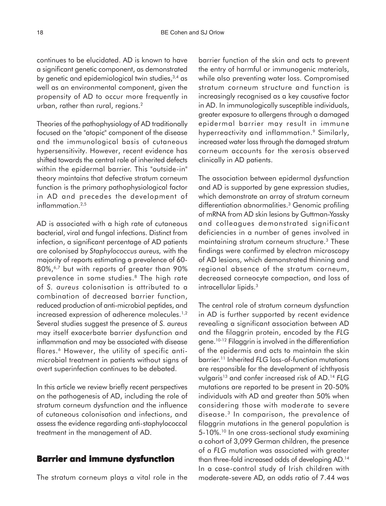continues to be elucidated. AD is known to have a significant genetic component, as demonstrated by genetic and epidemiological twin studies,  $3,4$  as well as an environmental component, given the propensity of AD to occur more frequently in urban, rather than rural, regions.<sup>2</sup>

Theories of the pathophysiology of AD traditionally focused on the "atopic" component of the disease and the immunological basis of cutaneous hypersensitivity. However, recent evidence has shifted towards the central role of inherited defects within the epidermal barrier. This "outside-in" theory maintains that defective stratum corneum function is the primary pathophysiological factor in AD and precedes the development of inflammation.<sup>2,5</sup>

AD is associated with a high rate of cutaneous bacterial, viral and fungal infections. Distinct from infection, a significant percentage of AD patients are colonised by *Staphylococcus aureus,* with the majority of reports estimating a prevalence of 60- 80%,6,7 but with reports of greater than 90% prevalence in some studies.<sup>8</sup> The high rate of *S. aureus* colonisation is attributed to a combination of decreased barrier function, reduced production of anti-microbial peptides, and increased expression of adherence molecules.<sup>1,2</sup> Several studies suggest the presence of *S. aureus* may itself exacerbate barrier dysfunction and inflammation and may be associated with disease flares.<sup>6</sup> However, the utility of specific antimicrobial treatment in patients without signs of overt superinfection continues to be debated.

In this article we review briefly recent perspectives on the pathogenesis of AD, including the role of stratum corneum dysfunction and the influence of cutaneous colonisation and infections, and assess the evidence regarding anti-staphylococcal treatment in the management of AD.

## **Barrier and immune dysfunction**

The stratum corneum plays a vital role in the

barrier function of the skin and acts to prevent the entry of harmful or immunogenic materials, while also preventing water loss. Compromised stratum corneum structure and function is increasingly recognised as a key causative factor in AD. In immunologically susceptible individuals, greater exposure to allergens through a damaged epidermal barrier may result in immune hyperreactivity and inflammation.<sup>9</sup> Similarly, increased water loss through the damaged stratum corneum accounts for the xerosis observed clinically in AD patients.

The association between epidermal dysfunction and AD is supported by gene expression studies, which demonstrate an array of stratum corneum differentiation abnormalities.3 Genomic profiling of mRNA from AD skin lesions by Guttman-Yassky and colleagues demonstrated significant deficiencies in a number of genes involved in maintaining stratum corneum structure.3 These findings were confirmed by electron microscopy of AD lesions, which demonstrated thinning and regional absence of the stratum corneum, decreased corneocyte compaction, and loss of intracellular lipids.3

The central role of stratum corneum dysfunction in AD is further supported by recent evidence revealing a significant association between AD and the filaggrin protein, encoded by the *FLG* gene.10-12 Filaggrin is involved in the differentiation of the epidermis and acts to maintain the skin barrier.11 Inherited *FLG* loss-of-function mutations are responsible for the development of ichthyosis vulgaris13 and confer increased risk of AD.14 *FLG* mutations are reported to be present in 20-50% individuals with AD and greater than 50% when considering those with moderate to severe disease.3 In comparison, the prevalence of filaggrin mutations in the general population is 5-10%.<sup>10</sup> In one cross-sectional study examining a cohort of 3,099 German children, the presence of a *FLG* mutation was associated with greater than three-fold increased odds of developing AD.14 In a case-control study of Irish children with moderate-severe AD, an odds ratio of 7.44 was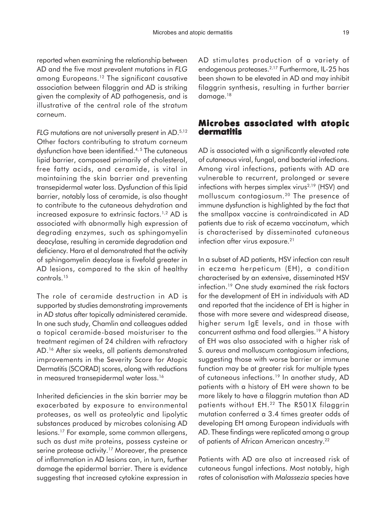reported when examining the relationship between AD and the five most prevalent mutations in *FLG* among Europeans.12 The significant causative association between filaggrin and AD is striking given the complexity of AD pathogenesis, and is illustrative of the central role of the stratum corneum.

*FLG* mutations are not universally present in AD.<sup>5,12</sup> Other factors contributing to stratum corneum dysfunction have been identified.<sup>4,5</sup> The cutaneous lipid barrier, composed primarily of cholesterol, free fatty acids, and ceramide, is vital in maintaining the skin barrier and preventing transepidermal water loss. Dysfunction of this lipid barrier, notably loss of ceramide, is also thought to contribute to the cutaneous dehydration and increased exposure to extrinsic factors.<sup>1,2</sup> AD is associated with abnormally high expression of degrading enzymes, such as sphingomyelin deacylase, resulting in ceramide degradation and deficiency. Hara et al demonstrated that the activity of sphingomyelin deacylase is fivefold greater in AD lesions, compared to the skin of healthy controls.15

The role of ceramide destruction in AD is supported by studies demonstrating improvements in AD status after topically administered ceramide. In one such study, Chamlin and colleagues added a topical ceramide-based moisturiser to the treatment regimen of 24 children with refractory AD.16 After six weeks, all patients demonstrated improvements in the Severity Score for Atopic Dermatitis (SCORAD) scores, along with reductions in measured transepidermal water loss.<sup>16</sup>

Inherited deficiencies in the skin barrier may be exacerbated by exposure to environmental proteases, as well as proteolytic and lipolytic substances produced by microbes colonising AD lesions.17 For example, some common allergens, such as dust mite proteins, possess cysteine or serine protease activity.<sup>17</sup> Moreover, the presence of inflammation in AD lesions can, in turn, further damage the epidermal barrier. There is evidence suggesting that increased cytokine expression in AD stimulates production of a variety of endogenous proteases.2,17 Furthermore, IL-25 has been shown to be elevated in AD and may inhibit filaggrin synthesis, resulting in further barrier damage.<sup>18</sup>

### **Microbes associated with atopic dermatitis**

AD is associated with a significantly elevated rate of cutaneous viral, fungal, and bacterial infections. Among viral infections, patients with AD are vulnerable to recurrent, prolonged or severe infections with herpes simplex virus<sup> $2,19$ </sup> (HSV) and molluscum contagiosum.20 The presence of immune dysfunction is highlighted by the fact that the smallpox vaccine is contraindicated in AD patients due to risk of eczema vaccinatum, which is characterised by disseminated cutaneous infection after virus exposure.<sup>21</sup>

In a subset of AD patients, HSV infection can result in eczema herpeticum (EH), a condition characterised by an extensive, disseminated HSV infection.19 One study examined the risk factors for the development of EH in individuals with AD and reported that the incidence of EH is higher in those with more severe and widespread disease, higher serum IgE levels, and in those with concurrent asthma and food allergies.19 A history of EH was also associated with a higher risk of *S. aureus* and molluscum contagiosum infections, suggesting those with worse barrier or immune function may be at greater risk for multiple types of cutaneous infections.<sup>19</sup> In another study, AD patients with a history of EH were shown to be more likely to have a filaggrin mutation than AD patients without EH.<sup>22</sup> The R501X filaggrin mutation conferred a 3.4 times greater odds of developing EH among European individuals with AD. These findings were replicated among a group of patients of African American ancestry.<sup>22</sup>

Patients with AD are also at increased risk of cutaneous fungal infections. Most notably, high rates of colonisation with *Malassezia* species have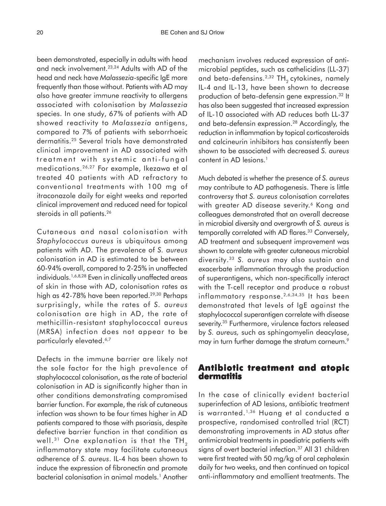been demonstrated, especially in adults with head and neck involvement.23,24 Adults with AD of the head and neck have *Malassezia-*specific IgE more frequently than those without. Patients with AD may also have greater immune reactivity to allergens associated with colonisation by *Malassezia* species. In one study, 67% of patients with AD showed reactivity to *Malassezia* antigens, compared to 7% of patients with seborrhoeic dermatitis.25 Several trials have demonstrated clinical improvement in AD associated with treatment with systemic anti-fungal medications.26,27 For example, Ikezawa et al treated 40 patients with AD refractory to conventional treatments with 100 mg of itraconazole daily for eight weeks and reported clinical improvement and reduced need for topical steroids in all patients.<sup>26</sup>

Cutaneous and nasal colonisation with *Staphylococcus aureus* is ubiquitous among patients with AD. The prevalence of *S. aureus* colonisation in AD is estimated to be between 60-94% overall, compared to 2-25% in unaffected individuals.1,6,8,28 Even in clinically unaffected areas of skin in those with AD, colonisation rates as high as 42-78% have been reported.<sup>29,30</sup> Perhaps surprisingly, while the rates of *S. aureus* colonisation are high in AD, the rate of methicillin-resistant staphylococcal aureus (MRSA) infection does not appear to be particularly elevated.<sup>6,7</sup>

Defects in the immune barrier are likely not the sole factor for the high prevalence of staphylococcal colonisation, as the rate of bacterial colonisation in AD is significantly higher than in other conditions demonstrating compromised barrier function. For example, the risk of cutaneous infection was shown to be four times higher in AD patients compared to those with psoriasis, despite defective barrier function in that condition as well.<sup>31</sup> One explanation is that the TH<sub>2</sub> inflammatory state may facilitate cutaneous adherence of *S. aureus*. IL-4 has been shown to induce the expression of fibronectin and promote bacterial colonisation in animal models.<sup>1</sup> Another

mechanism involves reduced expression of antimicrobial peptides, such as cathelicidins (LL-37) and beta-defensins.<sup>2,32</sup> TH<sub>2</sub> cytokines, namely IL-4 and IL-13, have been shown to decrease production of beta-defensin gene expression.32 It has also been suggested that increased expression of IL-10 associated with AD reduces both LL-37 and beta-defensin expression.28 Accordingly, the reduction in inflammation by topical corticosteroids and calcineurin inhibitors has consistently been shown to be associated with decreased *S. aureus* content in AD lesions.<sup>1</sup>

Much debated is whether the presence of *S. aureus* may contribute to AD pathogenesis. There is little controversy that *S. aureus* colonisation correlates with greater AD disease severity.<sup>6</sup> Kong and colleagues demonstrated that an overall decrease in microbial diversity and overgrowth of *S. aureus* is temporally correlated with AD flares.<sup>33</sup> Conversely, AD treatment and subsequent improvement was shown to correlate with greater cutaneous microbial diversity.33 *S. aureus* may also sustain and exacerbate inflammation through the production of superantigens, which non-specifically interact with the T-cell receptor and produce a robust inflammatory response.<sup>2,6,34,35</sup> It has been demonstrated that levels of IgE against the staphylococcal superantigen correlate with disease severity.<sup>35</sup> Furthermore, virulence factors released by *S. aureus,* such as sphingomyelin deacylase, may in turn further damage the stratum corneum.<sup>9</sup>

### **Antibiotic treatment and atopic dermatitis**

In the case of clinically evident bacterial superinfection of AD lesions, antibiotic treatment is warranted.1,36 Huang et al conducted a prospective, randomised controlled trial (RCT) demonstrating improvements in AD status after antimicrobial treatments in paediatric patients with signs of overt bacterial infection.<sup>37</sup> All 31 children were first treated with 50 mg/kg of oral cephalexin daily for two weeks, and then continued on topical anti-inflammatory and emollient treatments. The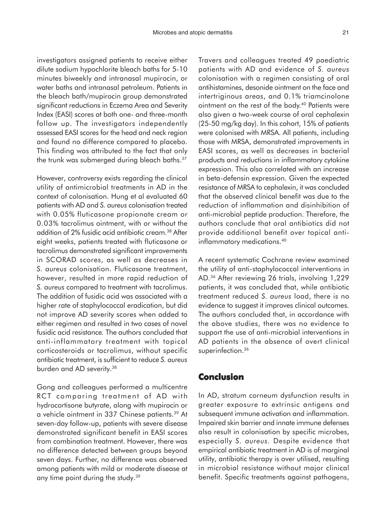investigators assigned patients to receive either dilute sodium hypochlorite bleach baths for 5-10 minutes biweekly and intranasal mupirocin, or water baths and intranasal petroleum. Patients in the bleach bath/mupirocin group demonstrated significant reductions in Eczema Area and Severity Index (EASI) scores at both one- and three-month follow up. The investigators independently assessed EASI scores for the head and neck region and found no difference compared to placebo. This finding was attributed to the fact that only the trunk was submerged during bleach baths.<sup>37</sup>

However, controversy exists regarding the clinical utility of antimicrobial treatments in AD in the context of colonisation. Hung et al evaluated 60 patients with AD and *S. aureus* colonisation treated with 0.05% fluticasone propionate cream or 0.03% tacrolimus ointment, with or without the addition of 2% fusidic acid antibiotic cream.38 After eight weeks, patients treated with fluticasone or tacrolimus demonstrated significant improvements in SCORAD scores, as well as decreases in *S. aureus* colonisation. Fluticasone treatment, however, resulted in more rapid reduction of *S. aureus* compared to treatment with tacrolimus. The addition of fusidic acid was associated with a higher rate of staphylococcal eradication, but did not improve AD severity scores when added to either regimen and resulted in two cases of novel fusidic acid resistance*.* The authors concluded that anti-inflammatory treatment with topical corticosteroids or tacrolimus, without specific antibiotic treatment, is sufficient to reduce *S. aureus* burden and AD severity.<sup>38</sup>

Gong and colleagues performed a multicentre RCT comparing treatment of AD with hydrocortisone butyrate, along with mupirocin or a vehicle ointment in 337 Chinese patients.39 At seven-day follow-up, patients with severe disease demonstrated significant benefit in EASI scores from combination treatment. However, there was no difference detected between groups beyond seven days. Further, no difference was observed among patients with mild or moderate disease at any time point during the study.39

Travers and colleagues treated 49 paediatric patients with AD and evidence of *S. aureus* colonisation with a regimen consisting of oral antihistamines, desonide ointment on the face and intertriginous areas, and 0.1% triamcinolone ointment on the rest of the body.<sup>40</sup> Patients were also given a two-week course of oral cephalexin (25-50 mg/kg day). In this cohort, 15% of patients were colonised with MRSA. All patients, including those with MRSA, demonstrated improvements in EASI scores, as well as decreases in bacterial products and reductions in inflammatory cytokine expression. This also correlated with an increase in beta-defensin expression. Given the expected resistance of MRSA to cephalexin, it was concluded that the observed clinical benefit was due to the reduction of inflammation and disinhibition of anti-microbial peptide production. Therefore, the authors conclude that oral antibiotics did not provide additional benefit over topical antiinflammatory medications.<sup>40</sup>

A recent systematic Cochrane review examined the utility of anti-staphylococcal interventions in AD.36 After reviewing 26 trials, involving 1,229 patients, it was concluded that, while antibiotic treatment reduced *S. aureus* load, there is no evidence to suggest it improves clinical outcomes. The authors concluded that, in accordance with the above studies, there was no evidence to support the use of anti-microbial interventions in AD patients in the absence of overt clinical superinfection.<sup>36</sup>

### **Conclusion**

In AD, stratum corneum dysfunction results in greater exposure to extrinsic antigens and subsequent immune activation and inflammation. Impaired skin barrier and innate immune defenses also result in colonisation by specific microbes, especially *S. aureus.* Despite evidence that empirical antibiotic treatment in AD is of marginal utility, antibiotic therapy is over utilised, resulting in microbial resistance without major clinical benefit. Specific treatments against pathogens,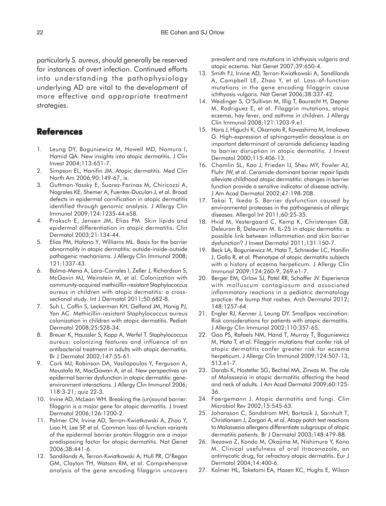particularly *S. aureus*, should generally be reserved for instances of overt infection. Continued efforts into understanding the pathophysiology underlying AD are vital to the development of more effective and appropriate treatment strategies.

### **References**

- 1. Leung DY, Boguniewicz M, Howell MD, Nomura I, Hamid QA. New insights into atopic dermatitis. J Clin Invest 2004;113:651-7.
- 2. Simpson EL, Hanifin JM. Atopic dermatitis. Med Clin North Am 2006;90:149-67, ix.
- 3. Guttman-Yassky E, Suarez-Farinas M, Chiricozzi A, Nograles KE, Shemer A, Fuentes-Duculan J, et al. Broad defects in epidermal cornification in atopic dermatitis identified through genomic analysis. J Allergy Clin Immunol 2009;124:1235-44.e58.
- 4. Proksch E, Jensen JM, Elias PM. Skin lipids and epidermal differentiation in atopic dermatitis. Clin Dermatol 2003;21:134-44.
- 5. Elias PM, Hatano Y, Williams ML. Basis for the barrier abnormality in atopic dermatitis: outside-inside-outside pathogenic mechanisms. J Allergy Clin Immunol 2008; 121:1337-43.
- 6. Balma-Mena A, Lara-Corrales I, Zeller J, Richardson S, McGavin MJ, Weinstein M, et al. Colonization with community-acquired methicillin-resistant Staphylococcus aureus in children with atopic dermatitis: a crosssectional study. Int J Dermatol 2011;50:682-8.
- 7. Suh L, Coffin S, Leckerman KH, Gelfand JM, Honig PJ, Yan AC. Methicillin-resistant Staphylococcus aureus colonization in children with atopic dermatitis. Pediatr Dermatol 2008;25:528-34.
- 8. Breuer K, Haussler S, Kapp A, Werfel T. Staphylococcus aureus: colonizing features and influence of an antibacterial treatment in adults with atopic dermatitis. Br J Dermatol 2002;147:55-61.
- 9. Cork MJ, Robinson DA, Vasilopoulos Y, Ferguson A, Moustafa M, MacGowan A, et al. New perspectives on epidermal barrier dysfunction in atopic dermatitis: geneenvironment interactions. J Allergy Clin Immunol 2006; 118:3-21; quiz 22-3.
- 10. Irvine AD, McLean WH. Breaking the (un)sound barrier: filaggrin is a major gene for atopic dermatitis. J Invest Dermatol 2006;126:1200-2.
- 11. Palmer CN, Irvine AD, Terron-Kwiatkowski A, Zhao Y, Liao H, Lee SP, et al. Common loss-of-function variants of the epidermal barrier protein filaggrin are a major predisposing factor for atopic dermatitis. Nat Genet 2006;38:441-6.
- 12. Sandilands A, Terron-Kwiatkowski A, Hull PR, O'Regan GM, Clayton TH, Watson RM, et al. Comprehensive analysis of the gene encoding filaggrin uncovers

prevalent and rare mutations in ichthyosis vulgaris and atopic eczema. Nat Genet 2007;39:650-4.

- 13. Smith FJ, Irvine AD, Terron-Kwiatkowski A, Sandilands A, Campbell LE, Zhao Y, et al. Loss-of-function mutations in the gene encoding filaggrin cause ichthyosis vulgaris. Nat Genet 2006;38:337-42.
- 14. Weidinger S, O'Sullivan M, Illig T, Baurecht H, Depner M, Rodriguez E, et al. Filaggrin mutations, atopic eczema, hay fever, and asthma in children. J Allergy Clin Immunol 2008;121:1203-9.e1.
- 15. Hara J, Higuchi K, Okamoto R, Kawashima M, Imokawa G. High-expression of sphingomyelin deacylase is an important determinant of ceramide deficiency leading to barrier disruption in atopic dermatitis. J Invest Dermatol 2000;115:406-13.
- 16. Chamlin SL, Kao J, Frieden IJ, Sheu MY, Fowler AJ, Fluhr JW, et al. Ceramide-dominant barrier repair lipids alleviate childhood atopic dermatitis: changes in barrier function provide a sensitive indicator of disease activity. J Am Acad Dermatol 2002;47:198-208.
- 17. Takai T, Ikeda S. Barrier dysfunction caused by environmental proteases in the pathogenesis of allergic diseases. Allergol Int 2011;60:25-35.
- 18. Hvid M, Vestergaard C, Kemp K, Christensen GB, Deleuran B, Deleuran M. IL-25 in atopic dermatitis: a possible link between inflammation and skin barrier dysfunction? J Invest Dermatol 2011;131:150-7.
- 19. Beck LA, Boguniewicz M, Hata T, Schneider LC, Hanifin J, Gallo R, et al. Phenotype of atopic dermatitis subjects with a history of eczema herpeticum. J Allergy Clin Immunol 2009;124:260-9, 269.e1-7.
- 20. Berger EM, Orlow SJ, Patel RR, Schaffer JV. Experience with molluscum contagiosum and associated inflammatory reactions in a pediatric dermatology practice: the bump that rashes. Arch Dermatol 2012; 148:1257-64.
- 21. Engler RJ, Kenner J, Leung DY. Smallpox vaccination: Risk considerations for patients with atopic dermatitis. J Allergy Clin Immunol 2002;110:357-65.
- 22. Gao PS, Rafaels NM, Hand T, Murray T, Boguniewicz M, Hata T, et al. Filaggrin mutations that confer risk of atopic dermatitis confer greater risk for eczema herpeticum. J Allergy Clin Immunol 2009;124:507-13, 513.e1-7.
- 23. Darabi K, Hostetler SG, Bechtel MA, Zirwas M. The role of Malassezia in atopic dermatitis affecting the head and neck of adults. J Am Acad Dermatol 2009;60:125- 36.
- 24. Faergemann J. Atopic dermatitis and fungi. Clin Microbiol Rev 2002;15:545-63.
- 25. Johansson C, Sandstrom MH, Bartosik J, Sarnhult T, Christiansen J, Zargari A, et al. Atopy patch test reactions to Malassezia allergens differentiate subgroups of atopic dermatitis patients. Br J Dermatol 2003;148:479-88.
- 26. Ikezawa Z, Kondo M, Okajima M, Nishimura Y, Kono M. Clinical usefulness of oral itraconazole, an antimycotic drug, for refractory atopic dermatitis. Eur J Dermatol 2004;14:400-6.
- 27. Kolmer HL, Taketomi EA, Hazen KC, Hughs E, Wilson